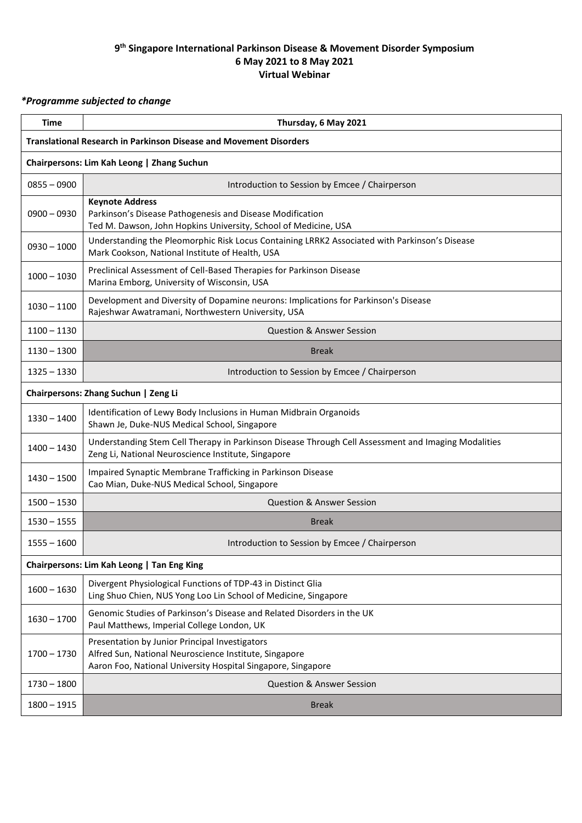## **9 th Singapore International Parkinson Disease & Movement Disorder Symposium 6 May 2021 to 8 May 2021 Virtual Webinar**

## *\*Programme subjected to change*

| Time                                                                      | Thursday, 6 May 2021                                                                                                                                                     |  |  |  |
|---------------------------------------------------------------------------|--------------------------------------------------------------------------------------------------------------------------------------------------------------------------|--|--|--|
| <b>Translational Research in Parkinson Disease and Movement Disorders</b> |                                                                                                                                                                          |  |  |  |
| Chairpersons: Lim Kah Leong   Zhang Suchun                                |                                                                                                                                                                          |  |  |  |
| $0855 - 0900$                                                             | Introduction to Session by Emcee / Chairperson                                                                                                                           |  |  |  |
| $0900 - 0930$                                                             | <b>Keynote Address</b><br>Parkinson's Disease Pathogenesis and Disease Modification<br>Ted M. Dawson, John Hopkins University, School of Medicine, USA                   |  |  |  |
| $0930 - 1000$                                                             | Understanding the Pleomorphic Risk Locus Containing LRRK2 Associated with Parkinson's Disease<br>Mark Cookson, National Institute of Health, USA                         |  |  |  |
| $1000 - 1030$                                                             | Preclinical Assessment of Cell-Based Therapies for Parkinson Disease<br>Marina Emborg, University of Wisconsin, USA                                                      |  |  |  |
| $1030 - 1100$                                                             | Development and Diversity of Dopamine neurons: Implications for Parkinson's Disease<br>Rajeshwar Awatramani, Northwestern University, USA                                |  |  |  |
| $1100 - 1130$                                                             | <b>Question &amp; Answer Session</b>                                                                                                                                     |  |  |  |
| $1130 - 1300$                                                             | <b>Break</b>                                                                                                                                                             |  |  |  |
| $1325 - 1330$                                                             | Introduction to Session by Emcee / Chairperson                                                                                                                           |  |  |  |
| Chairpersons: Zhang Suchun   Zeng Li                                      |                                                                                                                                                                          |  |  |  |
| $1330 - 1400$                                                             | Identification of Lewy Body Inclusions in Human Midbrain Organoids<br>Shawn Je, Duke-NUS Medical School, Singapore                                                       |  |  |  |
| $1400 - 1430$                                                             | Understanding Stem Cell Therapy in Parkinson Disease Through Cell Assessment and Imaging Modalities<br>Zeng Li, National Neuroscience Institute, Singapore               |  |  |  |
| $1430 - 1500$                                                             | Impaired Synaptic Membrane Trafficking in Parkinson Disease<br>Cao Mian, Duke-NUS Medical School, Singapore                                                              |  |  |  |
| $1500 - 1530$                                                             | <b>Question &amp; Answer Session</b>                                                                                                                                     |  |  |  |
| $1530 - 1555$                                                             | <b>Break</b>                                                                                                                                                             |  |  |  |
| $1555 - 1600$                                                             | Introduction to Session by Emcee / Chairperson                                                                                                                           |  |  |  |
| Chairpersons: Lim Kah Leong   Tan Eng King                                |                                                                                                                                                                          |  |  |  |
| $1600 - 1630$                                                             | Divergent Physiological Functions of TDP-43 in Distinct Glia<br>Ling Shuo Chien, NUS Yong Loo Lin School of Medicine, Singapore                                          |  |  |  |
| $1630 - 1700$                                                             | Genomic Studies of Parkinson's Disease and Related Disorders in the UK<br>Paul Matthews, Imperial College London, UK                                                     |  |  |  |
| $1700 - 1730$                                                             | Presentation by Junior Principal Investigators<br>Alfred Sun, National Neuroscience Institute, Singapore<br>Aaron Foo, National University Hospital Singapore, Singapore |  |  |  |
| $1730 - 1800$                                                             | <b>Question &amp; Answer Session</b>                                                                                                                                     |  |  |  |
| $1800 - 1915$                                                             | <b>Break</b>                                                                                                                                                             |  |  |  |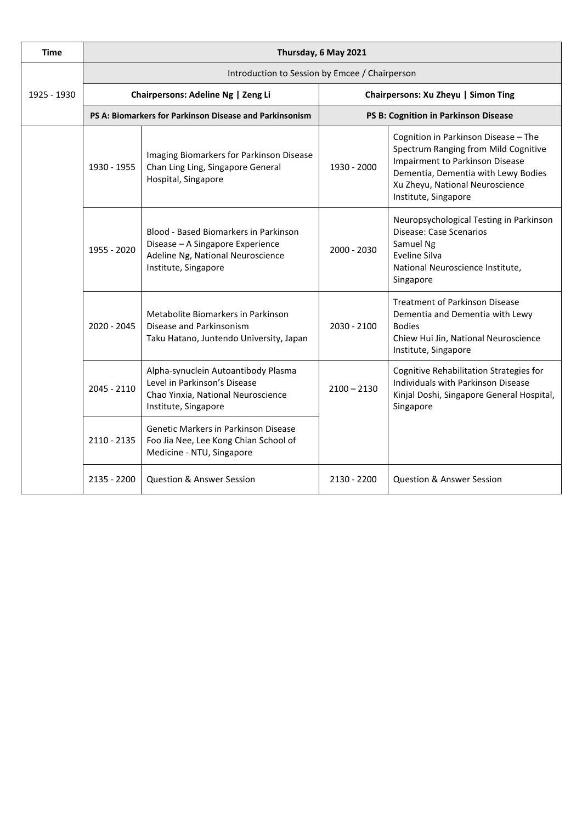| <b>Time</b> | Thursday, 6 May 2021                                    |                                                                                                                                        |                                      |                                                                                                                                                                                                                   |  |  |
|-------------|---------------------------------------------------------|----------------------------------------------------------------------------------------------------------------------------------------|--------------------------------------|-------------------------------------------------------------------------------------------------------------------------------------------------------------------------------------------------------------------|--|--|
|             | Introduction to Session by Emcee / Chairperson          |                                                                                                                                        |                                      |                                                                                                                                                                                                                   |  |  |
| 1925 - 1930 | Chairpersons: Adeline Ng   Zeng Li                      |                                                                                                                                        | Chairpersons: Xu Zheyu   Simon Ting  |                                                                                                                                                                                                                   |  |  |
|             | PS A: Biomarkers for Parkinson Disease and Parkinsonism |                                                                                                                                        | PS B: Cognition in Parkinson Disease |                                                                                                                                                                                                                   |  |  |
|             | 1930 - 1955                                             | Imaging Biomarkers for Parkinson Disease<br>Chan Ling Ling, Singapore General<br>Hospital, Singapore                                   | 1930 - 2000                          | Cognition in Parkinson Disease - The<br>Spectrum Ranging from Mild Cognitive<br>Impairment to Parkinson Disease<br>Dementia, Dementia with Lewy Bodies<br>Xu Zheyu, National Neuroscience<br>Institute, Singapore |  |  |
|             | 1955 - 2020                                             | Blood - Based Biomarkers in Parkinson<br>Disease - A Singapore Experience<br>Adeline Ng, National Neuroscience<br>Institute, Singapore | $2000 - 2030$                        | Neuropsychological Testing in Parkinson<br><b>Disease: Case Scenarios</b><br>Samuel Ng<br><b>Eveline Silva</b><br>National Neuroscience Institute,<br>Singapore                                                   |  |  |
|             | $2020 - 2045$                                           | Metabolite Biomarkers in Parkinson<br>Disease and Parkinsonism<br>Taku Hatano, Juntendo University, Japan                              | $2030 - 2100$                        | <b>Treatment of Parkinson Disease</b><br>Dementia and Dementia with Lewy<br><b>Bodies</b><br>Chiew Hui Jin, National Neuroscience<br>Institute, Singapore                                                         |  |  |
|             | $2045 - 2110$                                           | Alpha-synuclein Autoantibody Plasma<br>Level in Parkinson's Disease<br>Chao Yinxia, National Neuroscience<br>Institute, Singapore      | $2100 - 2130$                        | Cognitive Rehabilitation Strategies for<br>Individuals with Parkinson Disease<br>Kinjal Doshi, Singapore General Hospital,<br>Singapore                                                                           |  |  |
|             | 2110 - 2135                                             | Genetic Markers in Parkinson Disease<br>Foo Jia Nee, Lee Kong Chian School of<br>Medicine - NTU, Singapore                             |                                      |                                                                                                                                                                                                                   |  |  |
|             | 2135 - 2200                                             | <b>Question &amp; Answer Session</b>                                                                                                   | 2130 - 2200                          | <b>Question &amp; Answer Session</b>                                                                                                                                                                              |  |  |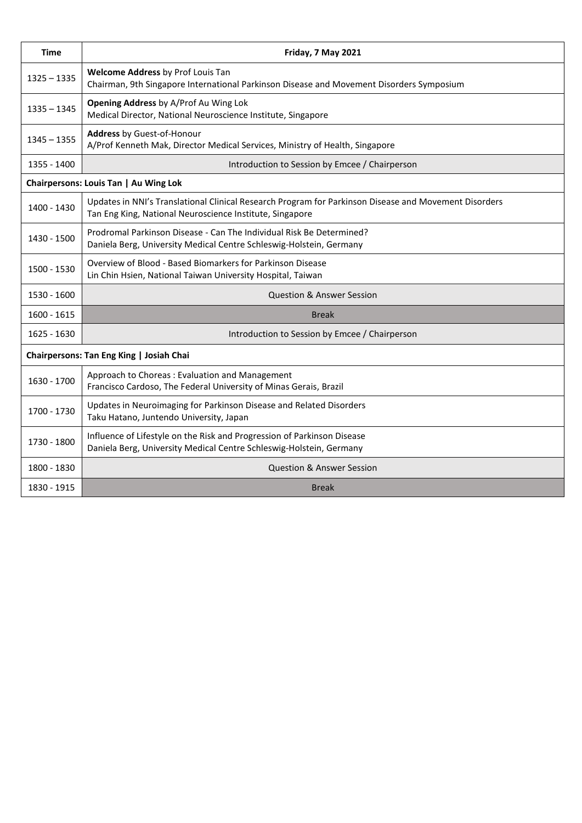| <b>Time</b>                              | Friday, 7 May 2021                                                                                                                                                |  |  |
|------------------------------------------|-------------------------------------------------------------------------------------------------------------------------------------------------------------------|--|--|
| $1325 - 1335$                            | Welcome Address by Prof Louis Tan<br>Chairman, 9th Singapore International Parkinson Disease and Movement Disorders Symposium                                     |  |  |
| $1335 - 1345$                            | <b>Opening Address by A/Prof Au Wing Lok</b><br>Medical Director, National Neuroscience Institute, Singapore                                                      |  |  |
| $1345 - 1355$                            | <b>Address by Guest-of-Honour</b><br>A/Prof Kenneth Mak, Director Medical Services, Ministry of Health, Singapore                                                 |  |  |
| 1355 - 1400                              | Introduction to Session by Emcee / Chairperson                                                                                                                    |  |  |
| Chairpersons: Louis Tan   Au Wing Lok    |                                                                                                                                                                   |  |  |
| 1400 - 1430                              | Updates in NNI's Translational Clinical Research Program for Parkinson Disease and Movement Disorders<br>Tan Eng King, National Neuroscience Institute, Singapore |  |  |
| 1430 - 1500                              | Prodromal Parkinson Disease - Can The Individual Risk Be Determined?<br>Daniela Berg, University Medical Centre Schleswig-Holstein, Germany                       |  |  |
| 1500 - 1530                              | Overview of Blood - Based Biomarkers for Parkinson Disease<br>Lin Chin Hsien, National Taiwan University Hospital, Taiwan                                         |  |  |
| 1530 - 1600                              | <b>Question &amp; Answer Session</b>                                                                                                                              |  |  |
| 1600 - 1615                              | <b>Break</b>                                                                                                                                                      |  |  |
| 1625 - 1630                              | Introduction to Session by Emcee / Chairperson                                                                                                                    |  |  |
| Chairpersons: Tan Eng King   Josiah Chai |                                                                                                                                                                   |  |  |
| 1630 - 1700                              | Approach to Choreas: Evaluation and Management<br>Francisco Cardoso, The Federal University of Minas Gerais, Brazil                                               |  |  |
| 1700 - 1730                              | Updates in Neuroimaging for Parkinson Disease and Related Disorders<br>Taku Hatano, Juntendo University, Japan                                                    |  |  |
| 1730 - 1800                              | Influence of Lifestyle on the Risk and Progression of Parkinson Disease<br>Daniela Berg, University Medical Centre Schleswig-Holstein, Germany                    |  |  |
| 1800 - 1830                              | <b>Question &amp; Answer Session</b>                                                                                                                              |  |  |
| 1830 - 1915                              | <b>Break</b>                                                                                                                                                      |  |  |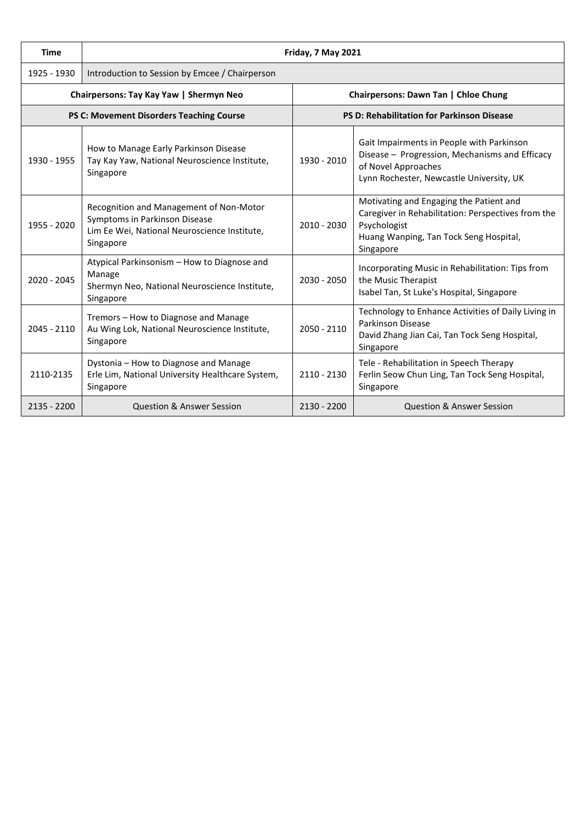| <b>Time</b>                              | Friday, 7 May 2021                                                                                                                    |                                      |                                                                                                                                                                      |  |  |
|------------------------------------------|---------------------------------------------------------------------------------------------------------------------------------------|--------------------------------------|----------------------------------------------------------------------------------------------------------------------------------------------------------------------|--|--|
| 1925 - 1930                              | Introduction to Session by Emcee / Chairperson                                                                                        |                                      |                                                                                                                                                                      |  |  |
| Chairpersons: Tay Kay Yaw   Shermyn Neo  |                                                                                                                                       | Chairpersons: Dawn Tan   Chloe Chung |                                                                                                                                                                      |  |  |
| PS C: Movement Disorders Teaching Course |                                                                                                                                       |                                      | PS D: Rehabilitation for Parkinson Disease                                                                                                                           |  |  |
| 1930 - 1955                              | How to Manage Early Parkinson Disease<br>Tay Kay Yaw, National Neuroscience Institute,<br>Singapore                                   | 1930 - 2010                          | Gait Impairments in People with Parkinson<br>Disease - Progression, Mechanisms and Efficacy<br>of Novel Approaches<br>Lynn Rochester, Newcastle University, UK       |  |  |
| 1955 - 2020                              | Recognition and Management of Non-Motor<br>Symptoms in Parkinson Disease<br>Lim Ee Wei, National Neuroscience Institute,<br>Singapore | $2010 - 2030$                        | Motivating and Engaging the Patient and<br>Caregiver in Rehabilitation: Perspectives from the<br>Psychologist<br>Huang Wanping, Tan Tock Seng Hospital,<br>Singapore |  |  |
| $2020 - 2045$                            | Atypical Parkinsonism - How to Diagnose and<br>Manage<br>Shermyn Neo, National Neuroscience Institute,<br>Singapore                   | 2030 - 2050                          | Incorporating Music in Rehabilitation: Tips from<br>the Music Therapist<br>Isabel Tan, St Luke's Hospital, Singapore                                                 |  |  |
| $2045 - 2110$                            | Tremors - How to Diagnose and Manage<br>Au Wing Lok, National Neuroscience Institute,<br>Singapore                                    | $2050 - 2110$                        | Technology to Enhance Activities of Daily Living in<br><b>Parkinson Disease</b><br>David Zhang Jian Cai, Tan Tock Seng Hospital,<br>Singapore                        |  |  |
| 2110-2135                                | Dystonia - How to Diagnose and Manage<br>Erle Lim, National University Healthcare System,<br>Singapore                                | $2110 - 2130$                        | Tele - Rehabilitation in Speech Therapy<br>Ferlin Seow Chun Ling, Tan Tock Seng Hospital,<br>Singapore                                                               |  |  |
| 2135 - 2200                              | <b>Question &amp; Answer Session</b>                                                                                                  | $2130 - 2200$                        | <b>Question &amp; Answer Session</b>                                                                                                                                 |  |  |